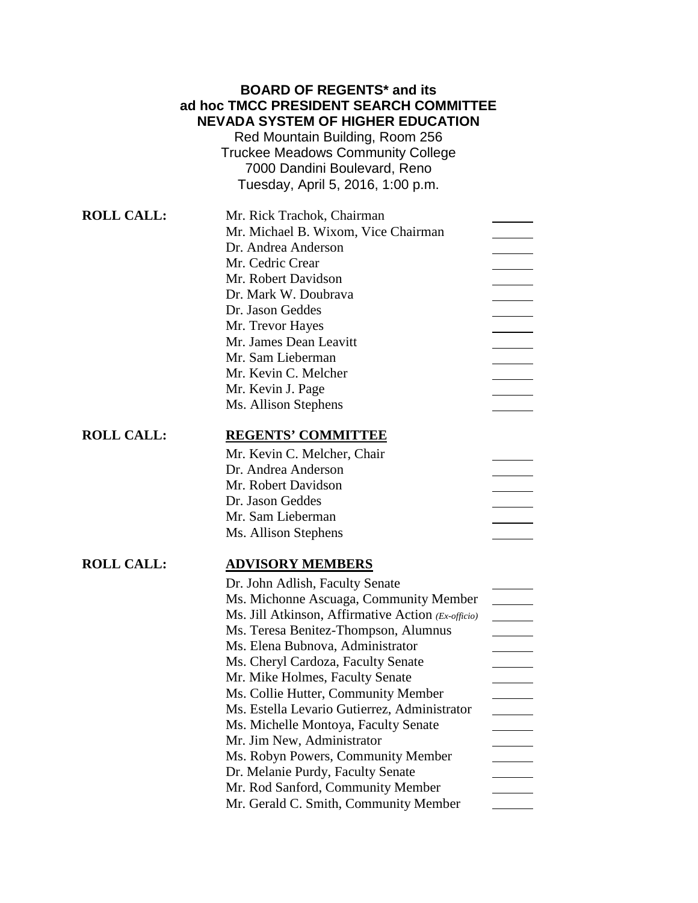# **BOARD OF REGENTS\* and its ad hoc TMCC PRESIDENT SEARCH COMMITTEE NEVADA SYSTEM OF HIGHER EDUCATION**

Red Mountain Building, Room 256 Truckee Meadows Community College 7000 Dandini Boulevard, Reno Tuesday, April 5, 2016, 1:00 p.m.

| <b>ROLL CALL:</b> | Mr. Rick Trachok, Chairman                         |  |
|-------------------|----------------------------------------------------|--|
|                   | Mr. Michael B. Wixom, Vice Chairman                |  |
|                   | Dr. Andrea Anderson                                |  |
|                   | Mr. Cedric Crear                                   |  |
|                   | Mr. Robert Davidson                                |  |
|                   | Dr. Mark W. Doubrava                               |  |
|                   | Dr. Jason Geddes                                   |  |
|                   | Mr. Trevor Hayes                                   |  |
|                   | Mr. James Dean Leavitt                             |  |
|                   | Mr. Sam Lieberman                                  |  |
|                   | Mr. Kevin C. Melcher                               |  |
|                   | Mr. Kevin J. Page                                  |  |
|                   | Ms. Allison Stephens                               |  |
| <b>ROLL CALL:</b> | <b>REGENTS' COMMITTEE</b>                          |  |
|                   | Mr. Kevin C. Melcher, Chair                        |  |
|                   | Dr. Andrea Anderson                                |  |
|                   | Mr. Robert Davidson                                |  |
|                   | Dr. Jason Geddes                                   |  |
|                   | Mr. Sam Lieberman                                  |  |
|                   | Ms. Allison Stephens                               |  |
| <b>ROLL CALL:</b> | <b>ADVISORY MEMBERS</b>                            |  |
|                   | Dr. John Adlish, Faculty Senate                    |  |
|                   | Ms. Michonne Ascuaga, Community Member             |  |
|                   | Ms. Jill Atkinson, Affirmative Action (Ex-officio) |  |
|                   | Ms. Teresa Benitez-Thompson, Alumnus               |  |
|                   | Ms. Elena Bubnova, Administrator                   |  |
|                   | Ms. Cheryl Cardoza, Faculty Senate                 |  |
|                   | Mr. Mike Holmes, Faculty Senate                    |  |
|                   | Ms. Collie Hutter, Community Member                |  |
|                   | Ms. Estella Levario Gutierrez, Administrator       |  |
|                   | Ms. Michelle Montoya, Faculty Senate               |  |
|                   | Mr. Jim New, Administrator                         |  |
|                   | Ms. Robyn Powers, Community Member                 |  |
|                   | Dr. Melanie Purdy, Faculty Senate                  |  |
|                   | Mr. Rod Sanford, Community Member                  |  |
|                   | Mr. Gerald C. Smith, Community Member              |  |
|                   |                                                    |  |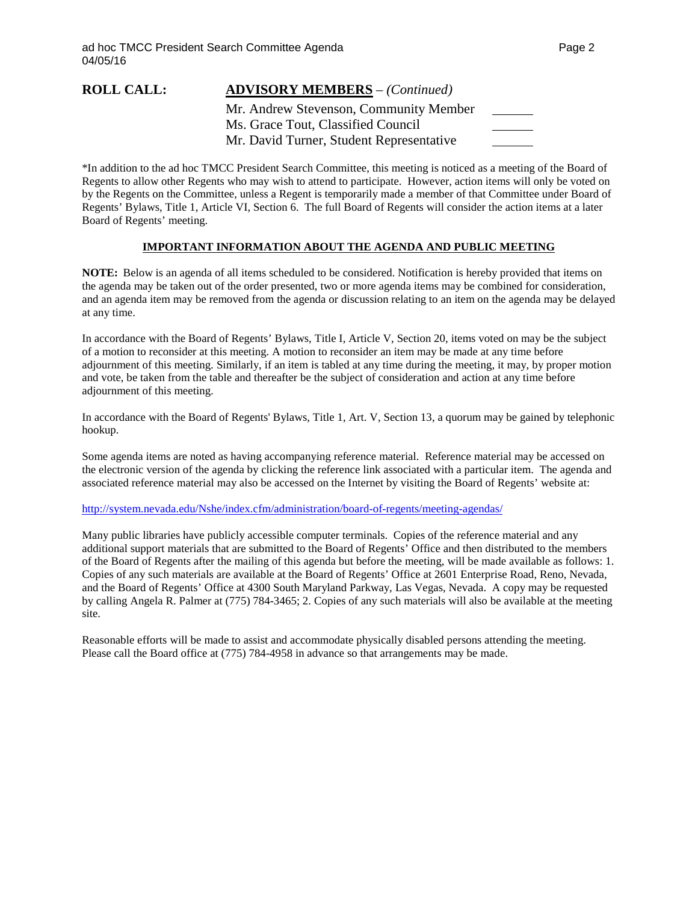### **ROLL CALL: ADVISORY MEMBERS** – *(Continued)*

Mr. Andrew Stevenson, Community Member Ms. Grace Tout, Classified Council Mr. David Turner, Student Representative

\*In addition to the ad hoc TMCC President Search Committee, this meeting is noticed as a meeting of the Board of Regents to allow other Regents who may wish to attend to participate. However, action items will only be voted on by the Regents on the Committee, unless a Regent is temporarily made a member of that Committee under Board of Regents' Bylaws, Title 1, Article VI, Section 6. The full Board of Regents will consider the action items at a later Board of Regents' meeting.

### **IMPORTANT INFORMATION ABOUT THE AGENDA AND PUBLIC MEETING**

**NOTE:** Below is an agenda of all items scheduled to be considered. Notification is hereby provided that items on the agenda may be taken out of the order presented, two or more agenda items may be combined for consideration, and an agenda item may be removed from the agenda or discussion relating to an item on the agenda may be delayed at any time.

In accordance with the Board of Regents' Bylaws, Title I, Article V, Section 20, items voted on may be the subject of a motion to reconsider at this meeting. A motion to reconsider an item may be made at any time before adjournment of this meeting. Similarly, if an item is tabled at any time during the meeting, it may, by proper motion and vote, be taken from the table and thereafter be the subject of consideration and action at any time before adjournment of this meeting.

In accordance with the Board of Regents' Bylaws, Title 1, Art. V, Section 13, a quorum may be gained by telephonic hookup.

Some agenda items are noted as having accompanying reference material. Reference material may be accessed on the electronic version of the agenda by clicking the reference link associated with a particular item. The agenda and associated reference material may also be accessed on the Internet by visiting the Board of Regents' website at:

### <http://system.nevada.edu/Nshe/index.cfm/administration/board-of-regents/meeting-agendas/>

Many public libraries have publicly accessible computer terminals. Copies of the reference material and any additional support materials that are submitted to the Board of Regents' Office and then distributed to the members of the Board of Regents after the mailing of this agenda but before the meeting, will be made available as follows: 1. Copies of any such materials are available at the Board of Regents' Office at 2601 Enterprise Road, Reno, Nevada, and the Board of Regents' Office at 4300 South Maryland Parkway, Las Vegas, Nevada. A copy may be requested by calling Angela R. Palmer at (775) 784-3465; 2. Copies of any such materials will also be available at the meeting site.

Reasonable efforts will be made to assist and accommodate physically disabled persons attending the meeting. Please call the Board office at (775) 784-4958 in advance so that arrangements may be made.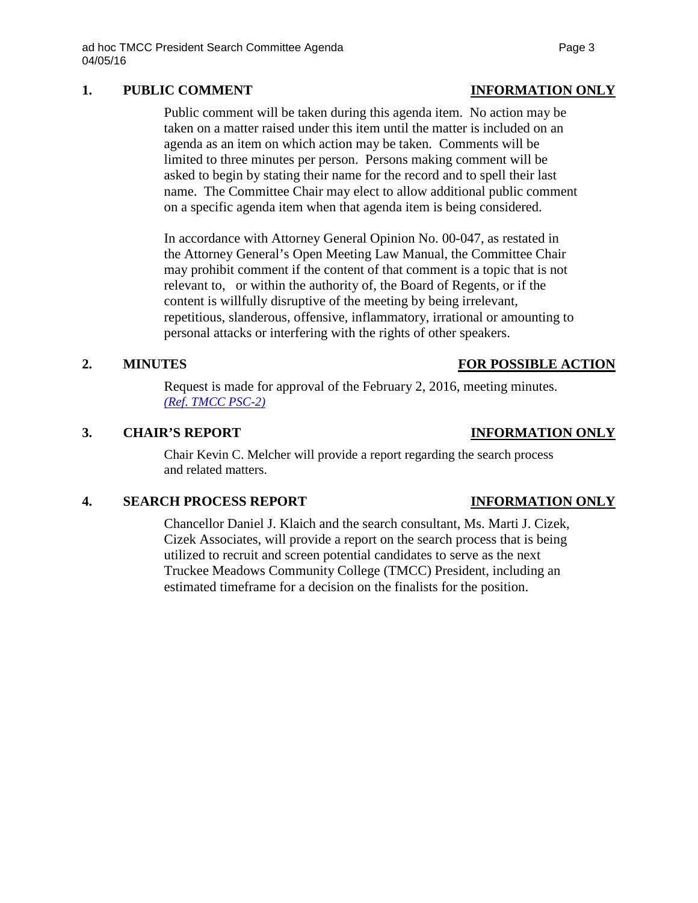# **1. PUBLIC COMMENT INFORMATION ONLY**

Public comment will be taken during this agenda item. No action may be taken on a matter raised under this item until the matter is included on an agenda as an item on which action may be taken. Comments will be limited to three minutes per person. Persons making comment will be asked to begin by stating their name for the record and to spell their last name. The Committee Chair may elect to allow additional public comment on a specific agenda item when that agenda item is being considered.

In accordance with Attorney General Opinion No. 00-047, as restated in the Attorney General's Open Meeting Law Manual, the Committee Chair may prohibit comment if the content of that comment is a topic that is not relevant to, or within the authority of, the Board of Regents, or if the content is willfully disruptive of the meeting by being irrelevant, repetitious, slanderous, offensive, inflammatory, irrational or amounting to personal attacks or interfering with the rights of other speakers.

## **2. MINUTES FOR POSSIBLE ACTION**

Request is made for approval of the February 2, 2016, meeting minutes. *(Ref*. *[TMCC PSC-2\)](http://system.nevada.edu/tasks/sites/Nshe/assets/File/BoardOfRegents/Agendas/2016/apr-mtgs/TMCC/April5/TMCC%20PSC-2.pdf)*

## **3. CHAIR'S REPORT INFORMATION ONLY**

Chair Kevin C. Melcher will provide a report regarding the search process and related matters.

# **4. SEARCH PROCESS REPORT INFORMATION ONLY**

Chancellor Daniel J. Klaich and the search consultant, Ms. Marti J. Cizek, Cizek Associates, will provide a report on the search process that is being utilized to recruit and screen potential candidates to serve as the next Truckee Meadows Community College (TMCC) President, including an estimated timeframe for a decision on the finalists for the position.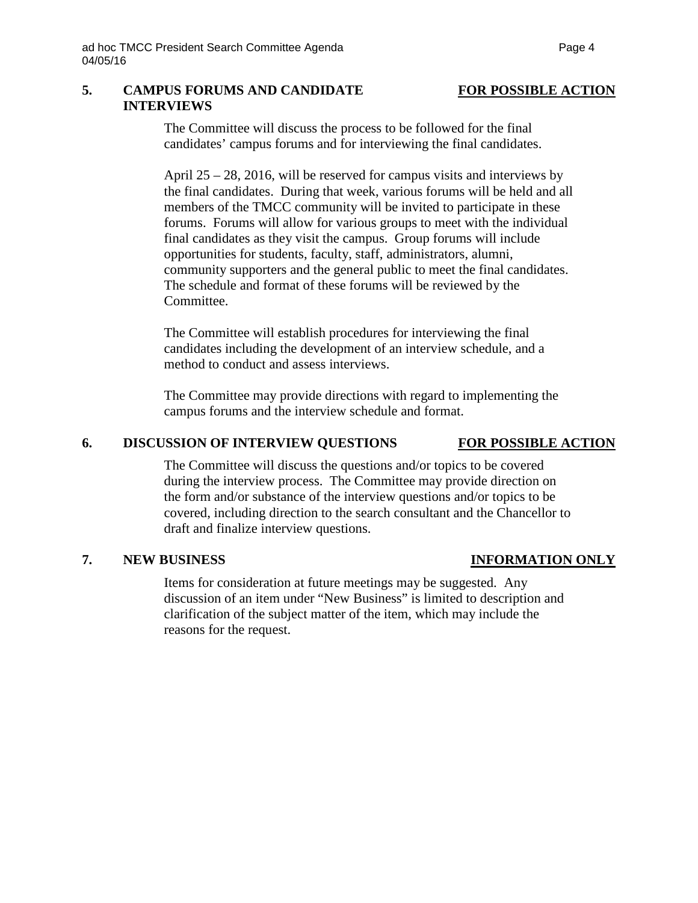### **5. CAMPUS FORUMS AND CANDIDATE FOR POSSIBLE ACTION INTERVIEWS**

The Committee will discuss the process to be followed for the final candidates' campus forums and for interviewing the final candidates.

April 25 – 28, 2016, will be reserved for campus visits and interviews by the final candidates. During that week, various forums will be held and all members of the TMCC community will be invited to participate in these forums. Forums will allow for various groups to meet with the individual final candidates as they visit the campus. Group forums will include opportunities for students, faculty, staff, administrators, alumni, community supporters and the general public to meet the final candidates. The schedule and format of these forums will be reviewed by the Committee.

The Committee will establish procedures for interviewing the final candidates including the development of an interview schedule, and a method to conduct and assess interviews.

The Committee may provide directions with regard to implementing the campus forums and the interview schedule and format.

### **6. DISCUSSION OF INTERVIEW QUESTIONS FOR POSSIBLE ACTION**

The Committee will discuss the questions and/or topics to be covered during the interview process. The Committee may provide direction on the form and/or substance of the interview questions and/or topics to be covered, including direction to the search consultant and the Chancellor to draft and finalize interview questions.

### **7. NEW BUSINESS INFORMATION ONLY**

Items for consideration at future meetings may be suggested. Any discussion of an item under "New Business" is limited to description and clarification of the subject matter of the item, which may include the reasons for the request.